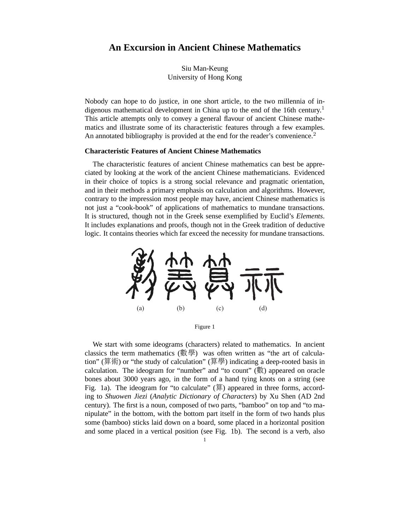# **An Excursion in Ancient Chinese Mathematics**

Siu Man-Keung University of Hong Kong

Nobody can hope to do justice, in one short article, to the two millennia of indigenous mathematical development in China up to the end of the 16th century.<sup>1</sup> This article attempts only to convey a general flavour of ancient Chinese mathematics and illustrate some of its characteristic features through a few examples. An annotated bibliography is provided at the end for the reader's convenience.<sup>2</sup>

### **Characteristic Features of Ancient Chinese Mathematics**

The characteristic features of ancient Chinese mathematics can best be appreciated by looking at the work of the ancient Chinese mathematicians. Evidenced in their choice of topics is a strong social relevance and pragmatic orientation, and in their methods a primary emphasis on calculation and algorithms. However, contrary to the impression most people may have, ancient Chinese mathematics is not just a "cook-book" of applications of mathematics to mundane transactions. It is structured, though not in the Greek sense exemplified by Euclid's *Elements*. It includes explanations and proofs, though not in the Greek tradition of deductive logic. It contains theories which far exceed the necessity for mundane transactions.



Figure 1

We start with some ideograms (characters) related to mathematics. In ancient classics the term mathematics (數學) was often written as "the art of calculation" (算術) or "the study of calculation" (算學) indicating a deep-rooted basis in calculation. The ideogram for "number" and "to count"  $(\frac{m}{\mathcal{A}})$  appeared on oracle bones about 3000 years ago, in the form of a hand tying knots on a string (see Fig. 1a). The ideogram for "to calculate"  $(\hat{\mathbb{F}})$  appeared in three forms, according to *Shuowen Jiezi* (*Analytic Dictionary of Characters*) by Xu Shen (AD 2nd century). The first is a noun, composed of two parts, "bamboo" on top and "to manipulate" in the bottom, with the bottom part itself in the form of two hands plus some (bamboo) sticks laid down on a board, some placed in a horizontal position and some placed in a vertical position (see Fig. 1b). The second is a verb, also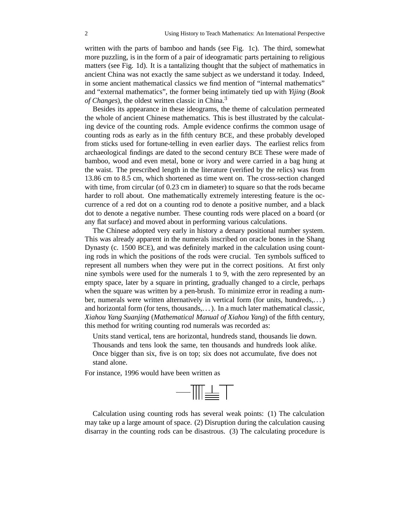written with the parts of bamboo and hands (see Fig. 1c). The third, somewhat more puzzling, is in the form of a pair of ideogramatic parts pertaining to religious matters (see Fig. 1d). It is a tantalizing thought that the subject of mathematics in ancient China was not exactly the same subject as we understand it today. Indeed, in some ancient mathematical classics we find mention of "internal mathematics" and "external mathematics", the former being intimately tied up with *Yijing* (*Book of Changes*), the oldest written classic in China.<sup>3</sup>

Besides its appearance in these ideograms, the theme of calculation permeated the whole of ancient Chinese mathematics. This is best illustrated by the calculating device of the counting rods. Ample evidence confirms the common usage of counting rods as early as in the fifth century BCE, and these probably developed from sticks used for fortune-telling in even earlier days. The earliest relics from archaeological findings are dated to the second century BCE These were made of bamboo, wood and even metal, bone or ivory and were carried in a bag hung at the waist. The prescribed length in the literature (verified by the relics) was from 13.86 cm to 8.5 cm, which shortened as time went on. The cross-section changed with time, from circular (of 0.23 cm in diameter) to square so that the rods became harder to roll about. One mathematically extremely interesting feature is the occurrence of a red dot on a counting rod to denote a positive number, and a black dot to denote a negative number. These counting rods were placed on a board (or any flat surface) and moved about in performing various calculations.

The Chinese adopted very early in history a denary positional number system. This was already apparent in the numerals inscribed on oracle bones in the Shang Dynasty (c. 1500 BCE), and was definitely marked in the calculation using counting rods in which the positions of the rods were crucial. Ten symbols sufficed to represent all numbers when they were put in the correct positions. At first only nine symbols were used for the numerals 1 to 9, with the zero represented by an empty space, later by a square in printing, gradually changed to a circle, perhaps when the square was written by a pen-brush. To minimize error in reading a number, numerals were written alternatively in vertical form (for units, hundreds,...) and horizontal form (for tens, thousands,. . . ). In a much later mathematical classic, *Xiahou Yang Suanjing* (*Mathematical Manual of Xiahou Yang*) of the fifth century, this method for writing counting rod numerals was recorded as:

Units stand vertical, tens are horizontal, hundreds stand, thousands lie down. Thousands and tens look the same, ten thousands and hundreds look alike. Once bigger than six, five is on top; six does not accumulate, five does not stand alone.

For instance, 1996 would have been written as



Calculation using counting rods has several weak points: (1) The calculation may take up a large amount of space. (2) Disruption during the calculation causing disarray in the counting rods can be disastrous. (3) The calculating procedure is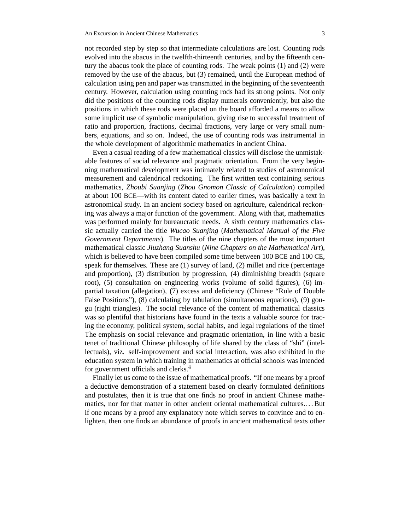not recorded step by step so that intermediate calculations are lost. Counting rods evolved into the abacus in the twelfth-thirteenth centuries, and by the fifteenth century the abacus took the place of counting rods. The weak points (1) and (2) were removed by the use of the abacus, but (3) remained, until the European method of calculation using pen and paper was transmitted in the beginning of the seventeenth century. However, calculation using counting rods had its strong points. Not only did the positions of the counting rods display numerals conveniently, but also the positions in which these rods were placed on the board afforded a means to allow some implicit use of symbolic manipulation, giving rise to successful treatment of ratio and proportion, fractions, decimal fractions, very large or very small numbers, equations, and so on. Indeed, the use of counting rods was instrumental in the whole development of algorithmic mathematics in ancient China.

Even a casual reading of a few mathematical classics will disclose the unmistakable features of social relevance and pragmatic orientation. From the very beginning mathematical development was intimately related to studies of astronomical measurement and calendrical reckoning. The first written text containing serious mathematics, *Zhoubi Suanjing* (*Zhou Gnomon Classic of Calculation*) compiled at about 100 BCE—with its content dated to earlier times, was basically a text in astronomical study. In an ancient society based on agriculture, calendrical reckoning was always a major function of the government. Along with that, mathematics was performed mainly for bureaucratic needs. A sixth century mathematics classic actually carried the title *Wucao Suanjing* (*Mathematical Manual of the Five Government Departments*). The titles of the nine chapters of the most important mathematical classic *Jiuzhang Suanshu* (*Nine Chapters on the Mathematical Art*), which is believed to have been compiled some time between 100 BCE and 100 CE, speak for themselves. These are (1) survey of land, (2) millet and rice (percentage and proportion), (3) distribution by progression, (4) diminishing breadth (square root), (5) consultation on engineering works (volume of solid figures), (6) impartial taxation (allegation), (7) excess and deficiency (Chinese "Rule of Double False Positions"), (8) calculating by tabulation (simultaneous equations), (9) gougu (right triangles). The social relevance of the content of mathematical classics was so plentiful that historians have found in the texts a valuable source for tracing the economy, political system, social habits, and legal regulations of the time! The emphasis on social relevance and pragmatic orientation, in line with a basic tenet of traditional Chinese philosophy of life shared by the class of "shi" (intellectuals), viz. self-improvement and social interaction, was also exhibited in the education system in which training in mathematics at official schools was intended for government officials and clerks.<sup>4</sup>

Finally let us come to the issue of mathematical proofs. "If one means by a proof a deductive demonstration of a statement based on clearly formulated definitions and postulates, then it is true that one finds no proof in ancient Chinese mathematics, nor for that matter in other ancient oriental mathematical cultures.. . . But if one means by a proof any explanatory note which serves to convince and to enlighten, then one finds an abundance of proofs in ancient mathematical texts other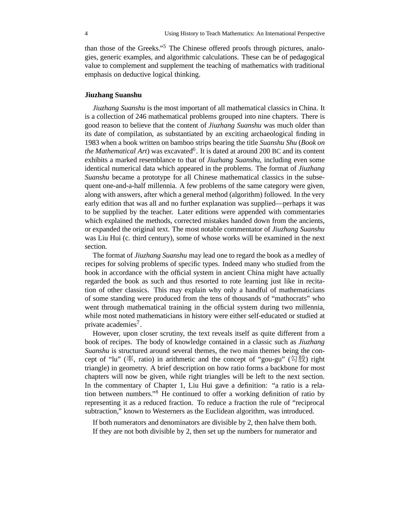than those of the Greeks."<sup>5</sup> The Chinese offered proofs through pictures, analogies, generic examples, and algorithmic calculations. These can be of pedagogical value to complement and supplement the teaching of mathematics with traditional emphasis on deductive logical thinking.

# **Jiuzhang Suanshu**

*Jiuzhang Suanshu* is the most important of all mathematical classics in China. It is a collection of 246 mathematical problems grouped into nine chapters. There is good reason to believe that the content of *Jiuzhang Suanshu* was much older than its date of compilation, as substantiated by an exciting archaeological finding in 1983 when a book written on bamboo strips bearing the title *Suanshu Shu* (*Book on* the Mathematical Art) was excavated<sup>6</sup>. It is dated at around 200 BC and its content exhibits a marked resemblance to that of *Jiuzhang Suanshu*, including even some identical numerical data which appeared in the problems. The format of *Jiuzhang Suanshu* became a prototype for all Chinese mathematical classics in the subsequent one-and-a-half millennia. A few problems of the same category were given, along with answers, after which a general method (algorithm) followed. In the very early edition that was all and no further explanation was supplied—perhaps it was to be supplied by the teacher. Later editions were appended with commentaries which explained the methods, corrected mistakes handed down from the ancients, or expanded the original text. The most notable commentator of *Jiuzhang Suanshu* was Liu Hui (c. third century), some of whose works will be examined in the next section.

The format of *Jiuzhang Suanshu* may lead one to regard the book as a medley of recipes for solving problems of specific types. Indeed many who studied from the book in accordance with the official system in ancient China might have actually regarded the book as such and thus resorted to rote learning just like in recitation of other classics. This may explain why only a handful of mathematicians of some standing were produced from the tens of thousands of "mathocrats" who went through mathematical training in the official system during two millennia, while most noted mathematicians in history were either self-educated or studied at private academies<sup>7</sup>.

However, upon closer scrutiny, the text reveals itself as quite different from a book of recipes. The body of knowledge contained in a classic such as *Jiuzhang Suanshu* is structured around several themes, the two main themes being the concept of "lu" ( $\mathbb{\tilde{A}}$ , ratio) in arithmetic and the concept of "gou-gu" ( $\mathbb{\tilde{A}}$ )  $\mathbb{\tilde{B}}$ ) right triangle) in geometry. A brief description on how ratio forms a backbone for most chapters will now be given, while right triangles will be left to the next section. In the commentary of Chapter 1, Liu Hui gave a definition: "a ratio is a relation between numbers."<sup>8</sup> He continued to offer a working definition of ratio by representing it as a reduced fraction. To reduce a fraction the rule of "reciprocal subtraction," known to Westerners as the Euclidean algorithm, was introduced.

If both numerators and denominators are divisible by 2, then halve them both. If they are not both divisible by 2, then set up the numbers for numerator and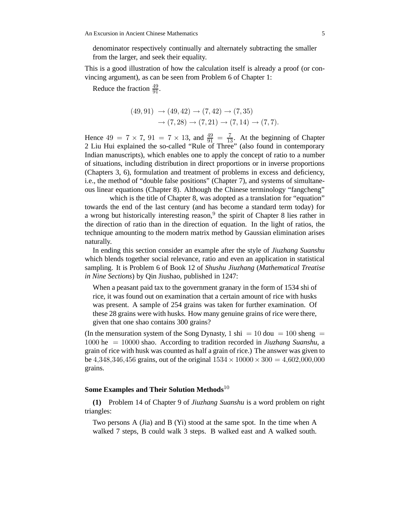denominator respectively continually and alternately subtracting the smaller from the larger, and seek their equality.

This is a good illustration of how the calculation itself is already a proof (or convincing argument), as can be seen from Problem 6 of Chapter 1:

Reduce the fraction  $\frac{49}{91}$ .

$$
(49,91) \rightarrow (49,42) \rightarrow (7,42) \rightarrow (7,35)
$$

$$
\rightarrow (7,28) \rightarrow (7,21) \rightarrow (7,14) \rightarrow (7,7).
$$

Hence  $49 = 7 \times 7$ ,  $91 = 7 \times 13$ , and  $\frac{49}{91} = \frac{7}{13}$ . At the beginning of Chapter 2 Liu Hui explained the so-called "Rule of Three" (also found in contemporary Indian manuscripts), which enables one to apply the concept of ratio to a number of situations, including distribution in direct proportions or in inverse proportions (Chapters 3, 6), formulation and treatment of problems in excess and deficiency, i.e., the method of "double false positions" (Chapter 7), and systems of simultaneous linear equations (Chapter 8). Although the Chinese terminology "fangcheng"

which is the title of Chapter 8, was adopted as a translation for "equation" towards the end of the last century (and has become a standard term today) for a wrong but historically interesting reason,<sup>9</sup> the spirit of Chapter 8 lies rather in the direction of ratio than in the direction of equation. In the light of ratios, the technique amounting to the modern matrix method by Gaussian elimination arises naturally.

In ending this section consider an example after the style of *Jiuzhang Suanshu* which blends together social relevance, ratio and even an application in statistical sampling. It is Problem 6 of Book 12 of *Shushu Jiuzhang* (*Mathematical Treatise in Nine Sections*) by Qin Jiushao, published in 1247:

When a peasant paid tax to the government granary in the form of 1534 shi of rice, it was found out on examination that a certain amount of rice with husks was present. A sample of 254 grains was taken for further examination. Of these 28 grains were with husks. How many genuine grains of rice were there, given that one shao contains 300 grains?

(In the mensuration system of the Song Dynasty, 1 shi = 10 dou = 100 sheng = 1000 he = 10000 shao. According to tradition recorded in *Jiuzhang Suanshu*, a grain of rice with husk was counted as half a grain of rice.) The answer was given to be 4,348,346,456 grains, out of the original  $1534 \times 10000 \times 300 = 4,602,000,000$ grains.

#### **Some Examples and Their Solution Methods**<sup>10</sup>

**(1)** Problem 14 of Chapter 9 of *Jiuzhang Suanshu* is a word problem on right triangles:

Two persons A (Jia) and B (Yi) stood at the same spot. In the time when A walked 7 steps, B could walk 3 steps. B walked east and A walked south.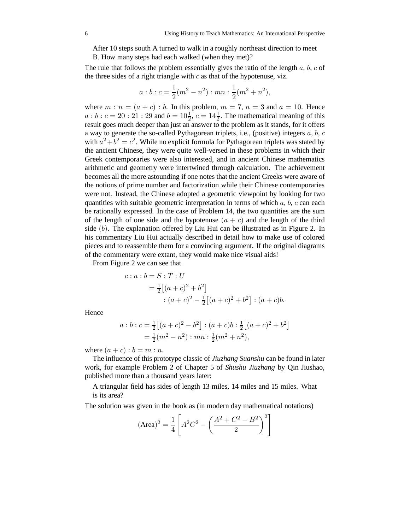After 10 steps south A turned to walk in a roughly northeast direction to meet

B. How many steps had each walked (when they met)?

The rule that follows the problem essentially gives the ratio of the length  $a, b, c$  of the three sides of a right triangle with  $c$  as that of the hypotenuse, viz.

$$
a:b:c = \frac{1}{2}(m^2 - n^2) : mn : \frac{1}{2}(m^2 + n^2),
$$

where  $m : n = (a + c) : b$ . In this problem,  $m = 7$ ,  $n = 3$  and  $a = 10$ . Hence  $a:b:c=20:21:29$  and  $b=10\frac{1}{2}$ ,  $c=14\frac{1}{2}$ . The mathematical meaning of this result goes much deeper than just an answer to the problem as it stands, for it offers a way to generate the so-called Pythagorean triplets, i.e., (positive) integers  $a, b, c$ with  $a^2 + b^2 = c^2$ . While no explicit formula for Pythagorean triplets was stated by the ancient Chinese, they were quite well-versed in these problems in which their Greek contemporaries were also interested, and in ancient Chinese mathematics arithmetic and geometry were intertwined through calculation. The achievement becomes all the more astounding if one notes that the ancient Greeks were aware of the notions of prime number and factorization while their Chinese contemporaries were not. Instead, the Chinese adopted a geometric viewpoint by looking for two quantities with suitable geometric interpretation in terms of which  $a, b, c$  can each be rationally expressed. In the case of Problem 14, the two quantities are the sum of the length of one side and the hypotenuse  $(a + c)$  and the length of the third side (b). The explanation offered by Liu Hui can be illustrated as in Figure 2. In his commentary Liu Hui actually described in detail how to make use of colored pieces and to reassemble them for a convincing argument. If the original diagrams of the commentary were extant, they would make nice visual aids!

From Figure 2 we can see that

$$
c: a: b = S: T: U
$$
  
=  $\frac{1}{2} [(a + c)^2 + b^2]$   

$$
: (a + c)^2 - \frac{1}{2} [(a + c)^2 + b^2] : (a + c)b.
$$

Hence

$$
a:b:c = \frac{1}{2}[(a+c)^2 - b^2] : (a+c)b : \frac{1}{2}[(a+c)^2 + b^2]
$$
  
=  $\frac{1}{2}(m^2 - n^2) : mn : \frac{1}{2}(m^2 + n^2),$ 

where  $(a + c)$  :  $b = m : n$ .

The influence of this prototype classic of *Jiuzhang Suanshu* can be found in later work, for example Problem 2 of Chapter 5 of *Shushu Jiuzhang* by Qin Jiushao, published more than a thousand years later:

A triangular field has sides of length 13 miles, 14 miles and 15 miles. What is its area?

The solution was given in the book as (in modern day mathematical notations)

$$
(\text{Area})^2 = \frac{1}{4} \left[ A^2 C^2 - \left( \frac{A^2 + C^2 - B^2}{2} \right)^2 \right]
$$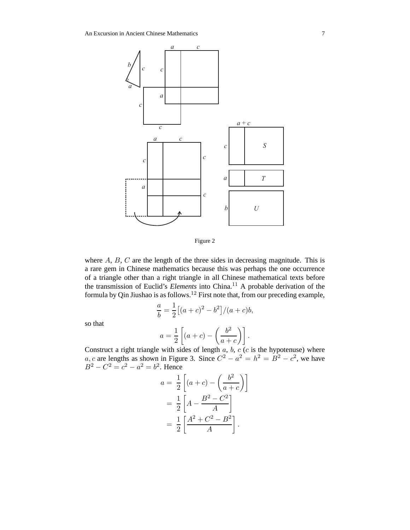

Figure 2

where  $A$ ,  $B$ ,  $C$  are the length of the three sides in decreasing magnitude. This is a rare gem in Chinese mathematics because this was perhaps the one occurrence of a triangle other than a right triangle in all Chinese mathematical texts before the transmission of Euclid's *Elements* into China.<sup>11</sup> A probable derivation of the formula by Qin Jiushao is as follows.<sup>12</sup> First note that, from our preceding example,

$$
\frac{a}{b} = \frac{1}{2} [(a+c)^2 - b^2] / (a+c)b,
$$

so that

$$
a = \frac{1}{2} \left[ (a+c) - \left( \frac{b^2}{a+c} \right) \right].
$$

Construct a right triangle with sides of length  $a, b, c$  ( $c$  is the hypotenuse) where a, c are lengths as shown in Figure 3. Since  $C^2 - a^2 = h^2 = B^2 - c^2$ , we have  $B^2 - C^2 = c^2 - a^2 = b^2$ . Hence

$$
a = \frac{1}{2} \left[ (a+c) - \left( \frac{b^2}{a+c} \right) \right]
$$

$$
= \frac{1}{2} \left[ A - \frac{B^2 - C^2}{A} \right]
$$

$$
= \frac{1}{2} \left[ \frac{A^2 + C^2 - B^2}{A} \right].
$$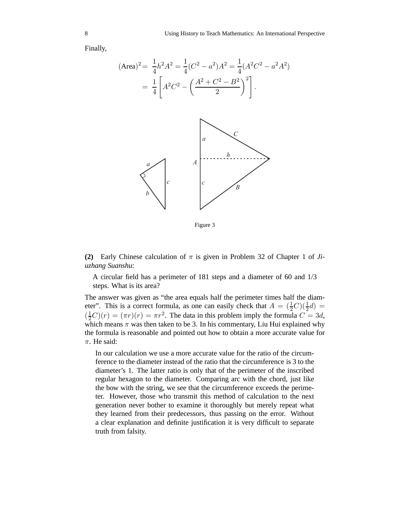Finally,

$$
(\text{Area})^2 = \frac{1}{4}h^2A^2 = \frac{1}{4}(C^2 - a^2)A^2 = \frac{1}{4}(A^2C^2 - a^2A^2)
$$

$$
= \frac{1}{4}\left[A^2C^2 - \left(\frac{A^2 + C^2 - B^2}{2}\right)^2\right].
$$

Figure 3

**(2)** Early Chinese calculation of  $\pi$  is given in Problem 32 of Chapter 1 of *Jiuzhang Suanshu*:

A circular field has a perimeter of 181 steps and a diameter of 60 and 1/3 steps. What is its area?

The answer was given as "the area equals half the perimeter times half the diameter". This is a correct formula, as one can easily check that  $A = (\frac{1}{2}C)(\frac{1}{2}d)$  $(\frac{1}{2}C)(r) = (\pi r)(r) = \pi r^2$ . The data in this problem imply the formula  $C = 3d$ , which means  $\pi$  was then taken to be 3. In his commentary, Liu Hui explained why the formula is reasonable and pointed out how to obtain a more accurate value for  $\pi$ . He said:

In our calculation we use a more accurate value for the ratio of the circumference to the diameter instead of the ratio that the circumference is 3 to the diameter's 1. The latter ratio is only that of the perimeter of the inscribed regular hexagon to the diameter. Comparing arc with the chord, just like the bow with the string, we see that the circumference exceeds the perimeter. However, those who transmit this method of calculation to the next generation never bother to examine it thoroughly but merely repeat what they learned from their predecessors, thus passing on the error. Without a clear explanation and definite justification it is very difficult to separate truth from falsity.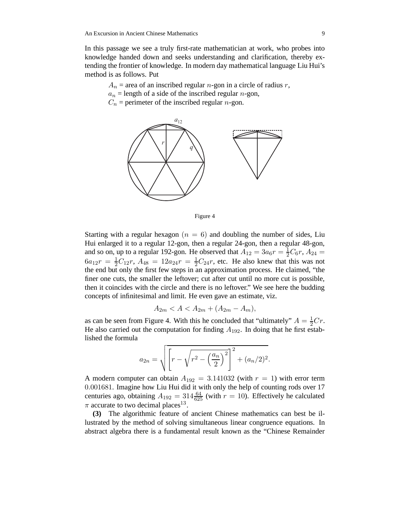In this passage we see a truly first-rate mathematician at work, who probes into knowledge handed down and seeks understanding and clarification, thereby extending the frontier of knowledge. In modern day mathematical language Liu Hui's method is as follows. Put

 $A_n$  = area of an inscribed regular *n*-gon in a circle of radius *r*,

 $a_n$  = length of a side of the inscribed regular *n*-gon,

 $C_n$  = perimeter of the inscribed regular *n*-gon.



Figure 4

Starting with a regular hexagon  $(n = 6)$  and doubling the number of sides, Liu Hui enlarged it to a regular 12-gon, then a regular 24-gon, then a regular 48-gon, and so on, up to a regular 192-gon. He observed that  $A_{12} = 3a_6r = \frac{1}{2}C_6r$ ,  $A_{24} =$  $6a_{12}r = \frac{1}{2}C_{12}r$ ,  $A_{48} = 12a_{24}r = \frac{1}{2}C_{24}r$ , etc. He also knew that this was not the end but only the first few steps in an approximation process. He claimed, "the finer one cuts, the smaller the leftover; cut after cut until no more cut is possible, then it coincides with the circle and there is no leftover." We see here the budding concepts of infinitesimal and limit. He even gave an estimate, viz.

$$
A_{2m} < A < A_{2m} + (A_{2m} - A_m),
$$

as can be seen from Figure 4. With this he concluded that "ultimately"  $A = \frac{1}{2}Cr$ . He also carried out the computation for finding  $A_{192}$ . In doing that he first established the formula

$$
a_{2n} = \sqrt{\left[r - \sqrt{r^2 - \left(\frac{a_n}{2}\right)^2}\right]^2 + (a_n/2)^2}.
$$

A modern computer can obtain  $A_{192} = 3.141032$  (with  $r = 1$ ) with error term 0.001681. Imagine how Liu Hui did it with only the help of counting rods over 17 centuries ago, obtaining  $A_{192} = 314 \frac{64}{625}$  (with  $r = 10$ ). Effectively he calculated  $\pi$  accurate to two decimal places<sup>13</sup>.

**(3)** The algorithmic feature of ancient Chinese mathematics can best be illustrated by the method of solving simultaneous linear congruence equations. In abstract algebra there is a fundamental result known as the "Chinese Remainder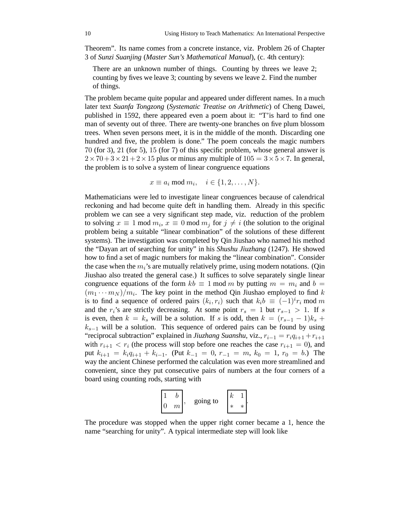Theorem". Its name comes from a concrete instance, viz. Problem 26 of Chapter 3 of *Sunzi Suanjing* (*Master Sun's Mathematical Manual*), (c. 4th century):

There are an unknown number of things. Counting by threes we leave 2; counting by fives we leave 3; counting by sevens we leave 2. Find the number of things.

The problem became quite popular and appeared under different names. In a much later text *Suanfa Tongzong* (*Systematic Treatise on Arithmetic*) of Cheng Dawei, published in 1592, there appeared even a poem about it: "T'is hard to find one man of seventy out of three. There are twenty-one branches on five plum blossom trees. When seven persons meet, it is in the middle of the month. Discarding one hundred and five, the problem is done." The poem conceals the magic numbers 70 (for 3), 21 (for 5), 15 (for 7) of this specific problem, whose general answer is  $2 \times 70 + 3 \times 21 + 2 \times 15$  plus or minus any multiple of  $105 = 3 \times 5 \times 7$ . In general, the problem is to solve a system of linear congruence equations

$$
x \equiv a_i \bmod m_i, \quad i \in \{1, 2, \dots, N\}.
$$

Mathematicians were led to investigate linear congruences because of calendrical reckoning and had become quite deft in handling them. Already in this specific problem we can see a very significant step made, viz. reduction of the problem to solving  $x \equiv 1 \mod m_i$ ,  $x \equiv 0 \mod m_j$  for  $j \neq i$  (the solution to the original problem being a suitable "linear combination" of the solutions of these different systems). The investigation was completed by Qin Jiushao who named his method the "Dayan art of searching for unity" in his *Shushu Jiuzhang* (1247). He showed how to find a set of magic numbers for making the "linear combination". Consider the case when the  $m_i$ 's are mutually relatively prime, using modern notations. (Qin Jiushao also treated the general case.) It suffices to solve separately single linear congruence equations of the form  $kb \equiv 1 \mod m$  by putting  $m = m_i$  and  $b =$  $(m_1 \cdots m_N)/m_i$ . The key point in the method Qin Jiushao employed to find k is to find a sequence of ordered pairs  $(k_i, r_i)$  such that  $k_i b \equiv (-1)^i r_i \mod m$ and the r<sub>i</sub>'s are strictly decreasing. At some point  $r_s = 1$  but  $r_{s-1} > 1$ . If s is even, then  $k = k_s$  will be a solution. If s is odd, then  $k = (r_{s-1} - 1)k_s + ...$  $k_{s-1}$  will be a solution. This sequence of ordered pairs can be found by using "reciprocal subtraction" explained in *Jiuzhang Suanshu*, viz.,  $r_{i-1} = r_i q_{i+1} + r_{i+1}$ with  $r_{i+1} < r_i$  (the process will stop before one reaches the case  $r_{i+1} = 0$ ), and put  $k_{i+1} = k_i q_{i+1} + k_{i-1}$ . (Put  $k_{-1} = 0$ ,  $r_{-1} = m$ ,  $k_0 = 1$ ,  $r_0 = b$ .) The way the ancient Chinese performed the calculation was even more streamlined and convenient, since they put consecutive pairs of numbers at the four corners of a board using counting rods, starting with



The procedure was stopped when the upper right corner became a 1, hence the name "searching for unity". A typical intermediate step will look like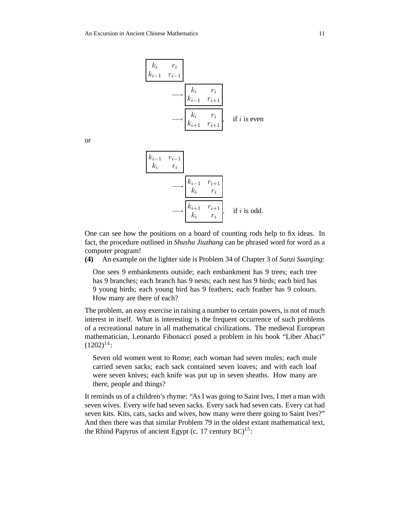

or

$$
\begin{array}{ccc}\nk_{i-1} & r_{i-1} \\
k_i & r_i \\
\hline\n\end{array}\n\longrightarrow\n\begin{array}{ccc}\nk_{i-1} & r_{i+1} \\
k_i & r_i \\
\hline\n\end{array}\n\longrightarrow\n\begin{array}{ccc}\nk_{i+1} & r_{i+1} \\
k_i & r_i \\
\hline\n\end{array}\n\quad \text{if } i \text{ is odd.}
$$

One can see how the positions on a board of counting rods help to fix ideas. In fact, the procedure outlined in *Shushu Jiuzhang* can be phrased word for word as a computer program!

**(4)** An example on the lighter side is Problem 34 of Chapter 3 of *Sunzi Suanjing*:

One sees 9 embankments outside; each embankment has 9 trees; each tree has 9 branches; each branch has 9 nests; each nest has 9 birds; each bird has 9 young birds; each young bird has 9 feathers; each feather has 9 colours. How many are there of each?

The problem, an easy exercise in raising a number to certain powers, is not of much interest in itself. What is interesting is the frequent occurrence of such problems of a recreational nature in all mathematical civilizations. The medieval European mathematician, Leonardo Fibonacci posed a problem in his book "Liber Abaci"  $(1202)^{14}$ :

Seven old women went to Rome; each woman had seven mules; each mule carried seven sacks; each sack contained seven loaves; and with each loaf were seven knives; each knife was put up in seven sheaths. How many are there, people and things?

It reminds us of a children's rhyme: "As I was going to Saint Ives, I met a man with seven wives. Every wife had seven sacks. Every sack had seven cats. Every cat had seven kits. Kits, cats, sacks and wives, how many were there going to Saint Ives?" And then there was that similar Problem 79 in the oldest extant mathematical text, the Rhind Papyrus of ancient Egypt (c. 17 century  $BC)^{15}$ :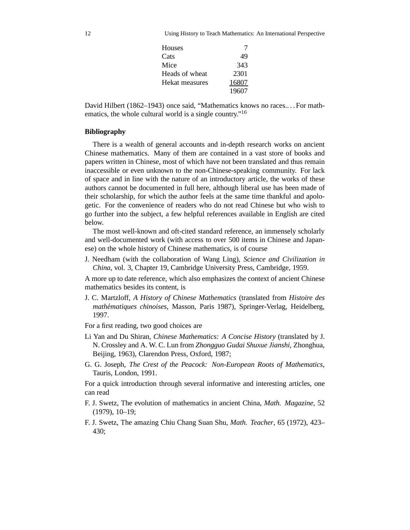12 Using History to Teach Mathematics: An International Perspective

| Houses         |       |
|----------------|-------|
| Cats           | 49    |
| Mice           | 343   |
| Heads of wheat | 2301  |
| Hekat measures | 16807 |
|                | 19607 |

David Hilbert (1862–1943) once said, "Mathematics knows no races.. . . For mathematics, the whole cultural world is a single country."<sup>16</sup>

# **Bibliography**

There is a wealth of general accounts and in-depth research works on ancient Chinese mathematics. Many of them are contained in a vast store of books and papers written in Chinese, most of which have not been translated and thus remain inaccessible or even unknown to the non-Chinese-speaking community. For lack of space and in line with the nature of an introductory article, the works of these authors cannot be documented in full here, although liberal use has been made of their scholarship, for which the author feels at the same time thankful and apologetic. For the convenience of readers who do not read Chinese but who wish to go further into the subject, a few helpful references available in English are cited below.

The most well-known and oft-cited standard reference, an immensely scholarly and well-documented work (with access to over 500 items in Chinese and Japanese) on the whole history of Chinese mathematics, is of course

J. Needham (with the collaboration of Wang Ling), *Science and Civilization in China*, vol. 3, Chapter 19, Cambridge University Press, Cambridge, 1959.

A more up to date reference, which also emphasizes the context of ancient Chinese mathematics besides its content, is

J. C. Martzloff, *A History of Chinese Mathematics* (translated from *Histoire des mathématiques chinoises*, Masson, Paris 1987), Springer-Verlag, Heidelberg, 1997.

For a first reading, two good choices are

- Li Yan and Du Shiran, *Chinese Mathematics: A Concise History* (translated by J. N. Crossley and A. W. C. Lun from *Zhongguo Gudai Shuxue Jianshi*, Zhonghua, Beijing, 1963), Clarendon Press, Oxford, 1987;
- G. G. Joseph, *The Crest of the Peacock: Non-European Roots of Mathematics*, Tauris, London, 1991.

For a quick introduction through several informative and interesting articles, one can read

- F. J. Swetz, The evolution of mathematics in ancient China, *Math. Magazine*, 52 (1979), 10–19;
- F. J. Swetz, The amazing Chiu Chang Suan Shu, *Math. Teacher*, 65 (1972), 423– 430;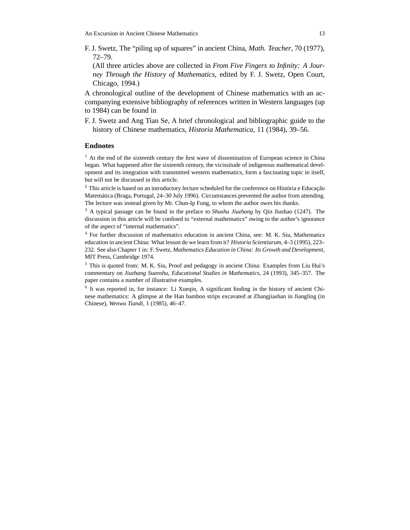F. J. Swetz, The "piling up of squares" in ancient China, *Math. Teacher*, 70 (1977), 72–79.

(All three articles above are collected in *From Five Fingers to Infinity: A Journey Through the History of Mathematics*, edited by F. J. Swetz, Open Court, Chicago, 1994.)

A chronological outline of the development of Chinese mathematics with an accompanying extensive bibliography of references written in Western languages (up to 1984) can be found in

F. J. Swetz and Ang Tian Se, A brief chronological and bibliographic guide to the history of Chinese mathematics, *Historia Mathematica*, 11 (1984), 39–56.

## **Endnotes**

 $<sup>1</sup>$  At the end of the sixteenth century the first wave of dissemination of European science in China</sup> began. What happened after the sixteenth century, the vicissitude of indigenous mathematical development and its integration with transmitted western mathematics, form a fascinating topic in itself, but will not be discussed in this article.

 $2$  This article is based on an introductory lecture scheduled for the conference on História e Educação Matemática (Braga, Portugal, 24–30 July 1996). Circumstances prevented the author from attending. The lecture was instead given by Mr. Chun-Ip Fung, to whom the author owes his thanks.

<sup>3</sup> A typical passage can be found in the preface to *Shushu Jiuzhang* by Qin Jiushao (1247). The discussion in this article will be confined to "external mathematics" owing to the author's ignorance of the aspect of "internal mathematics".

4 For further discussion of mathematics education in ancient China, see: M. K. Siu, Mathematics education in ancient China: What lesson do we learn from it? *Historia Scientiarum*, 4–3 (1995), 223– 232. See also Chapter 1 in: F. Swetz, *Mathematics Education in China: Its Growth and Development*, MIT Press, Cambridge 1974.

<sup>5</sup> This is quoted from: M. K. Siu, Proof and pedagogy in ancient China: Examples from Liu Hui's commentary on *Jiuzhang Suanshu*, *Educational Studies in Mathematics*, 24 (1993), 345–357. The paper contains a number of illustrative examples.

<sup>6</sup> It was reported in, for instance: Li Xueqin, A significant finding in the history of ancient Chinese mathematics: A glimpse at the Han bamboo strips excavated at Zhangjiashan in Jiangling (in Chinese), *Wenwu Tiandi*, 1 (1985), 46–47.